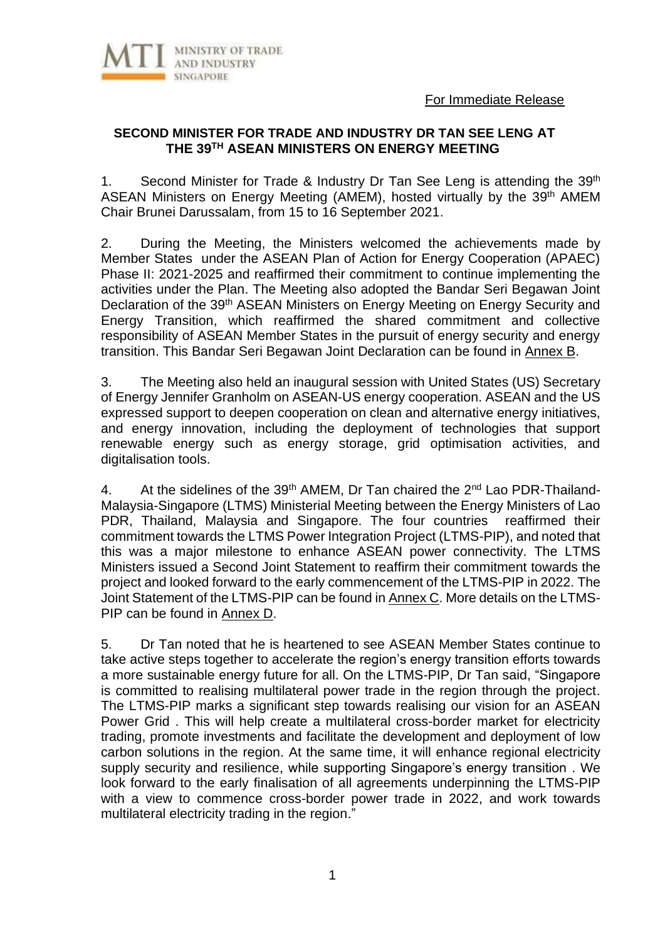



# **SECOND MINISTER FOR TRADE AND INDUSTRY DR TAN SEE LENG AT THE 39 TH ASEAN MINISTERS ON ENERGY MEETING**

1. Second Minister for Trade & Industry Dr Tan See Leng is attending the 39<sup>th</sup> ASEAN Ministers on Energy Meeting (AMEM), hosted virtually by the 39<sup>th</sup> AMEM Chair Brunei Darussalam, from 15 to 16 September 2021.

2. During the Meeting, the Ministers welcomed the achievements made by Member States under the ASEAN Plan of Action for Energy Cooperation (APAEC) Phase II: 2021-2025 and reaffirmed their commitment to continue implementing the activities under the Plan. The Meeting also adopted the Bandar Seri Begawan Joint Declaration of the 39<sup>th</sup> ASEAN Ministers on Energy Meeting on Energy Security and Energy Transition, which reaffirmed the shared commitment and collective responsibility of ASEAN Member States in the pursuit of energy security and energy transition. This Bandar Seri Begawan Joint Declaration can be found in Annex B.

3. The Meeting also held an inaugural session with United States (US) Secretary of Energy Jennifer Granholm on ASEAN-US energy cooperation. ASEAN and the US expressed support to deepen cooperation on clean and alternative energy initiatives, and energy innovation, including the deployment of technologies that support renewable energy such as energy storage, grid optimisation activities, and digitalisation tools.

4. At the sidelines of the 39<sup>th</sup> AMEM, Dr Tan chaired the 2<sup>nd</sup> Lao PDR-Thailand-Malaysia-Singapore (LTMS) Ministerial Meeting between the Energy Ministers of Lao PDR, Thailand, Malaysia and Singapore. The four countries reaffirmed their commitment towards the LTMS Power Integration Project (LTMS-PIP), and noted that this was a major milestone to enhance ASEAN power connectivity. The LTMS Ministers issued a Second Joint Statement to reaffirm their commitment towards the project and looked forward to the early commencement of the LTMS-PIP in 2022. The Joint Statement of the LTMS-PIP can be found in **Annex C**. More details on the LTMS-PIP can be found in Annex D.

5. Dr Tan noted that he is heartened to see ASEAN Member States continue to take active steps together to accelerate the region's energy transition efforts towards a more sustainable energy future for all. On the LTMS-PIP, Dr Tan said, "Singapore is committed to realising multilateral power trade in the region through the project. The LTMS-PIP marks a significant step towards realising our vision for an ASEAN Power Grid . This will help create a multilateral cross-border market for electricity trading, promote investments and facilitate the development and deployment of low carbon solutions in the region. At the same time, it will enhance regional electricity supply security and resilience, while supporting Singapore's energy transition . We look forward to the early finalisation of all agreements underpinning the LTMS-PIP with a view to commence cross-border power trade in 2022, and work towards multilateral electricity trading in the region."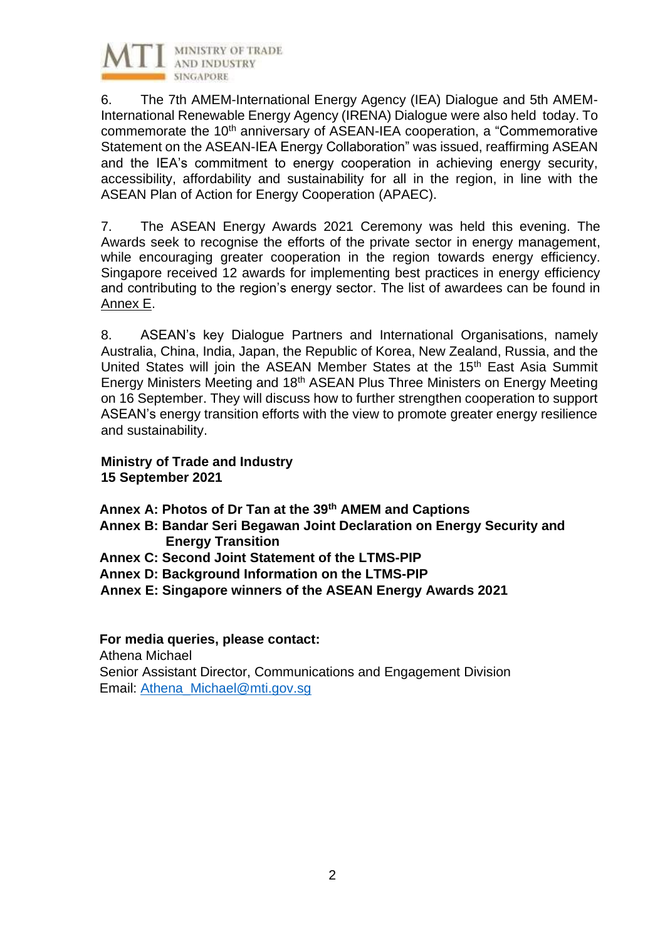

6. The 7th AMEM-International Energy Agency (IEA) Dialogue and 5th AMEM-International Renewable Energy Agency (IRENA) Dialogue were also held today. To commemorate the 10<sup>th</sup> anniversary of ASEAN-IEA cooperation, a "Commemorative Statement on the ASEAN-IEA Energy Collaboration" was issued, reaffirming ASEAN and the IEA's commitment to energy cooperation in achieving energy security, accessibility, affordability and sustainability for all in the region, in line with the ASEAN Plan of Action for Energy Cooperation (APAEC).

7. The ASEAN Energy Awards 2021 Ceremony was held this evening. The Awards seek to recognise the efforts of the private sector in energy management, while encouraging greater cooperation in the region towards energy efficiency. Singapore received 12 awards for implementing best practices in energy efficiency and contributing to the region's energy sector. The list of awardees can be found in Annex E.

8. ASEAN's key Dialogue Partners and International Organisations, namely Australia, China, India, Japan, the Republic of Korea, New Zealand, Russia, and the United States will join the ASEAN Member States at the 15<sup>th</sup> East Asia Summit Energy Ministers Meeting and 18th ASEAN Plus Three Ministers on Energy Meeting on 16 September. They will discuss how to further strengthen cooperation to support ASEAN's energy transition efforts with the view to promote greater energy resilience and sustainability.

#### **Ministry of Trade and Industry 15 September 2021**

**Annex A: Photos of Dr Tan at the 39th AMEM and Captions**

- **Annex B: Bandar Seri Begawan Joint Declaration on Energy Security and Energy Transition**
- **Annex C: Second Joint Statement of the LTMS-PIP**
- **Annex D: Background Information on the LTMS-PIP**

**Annex E: Singapore winners of the ASEAN Energy Awards 2021**

#### **For media queries, please contact:**

Athena Michael Senior Assistant Director, Communications and Engagement Division Email: [Athena\\_Michael@mti.gov.sg](mailto:Athena_Michael@mti.gov.sg)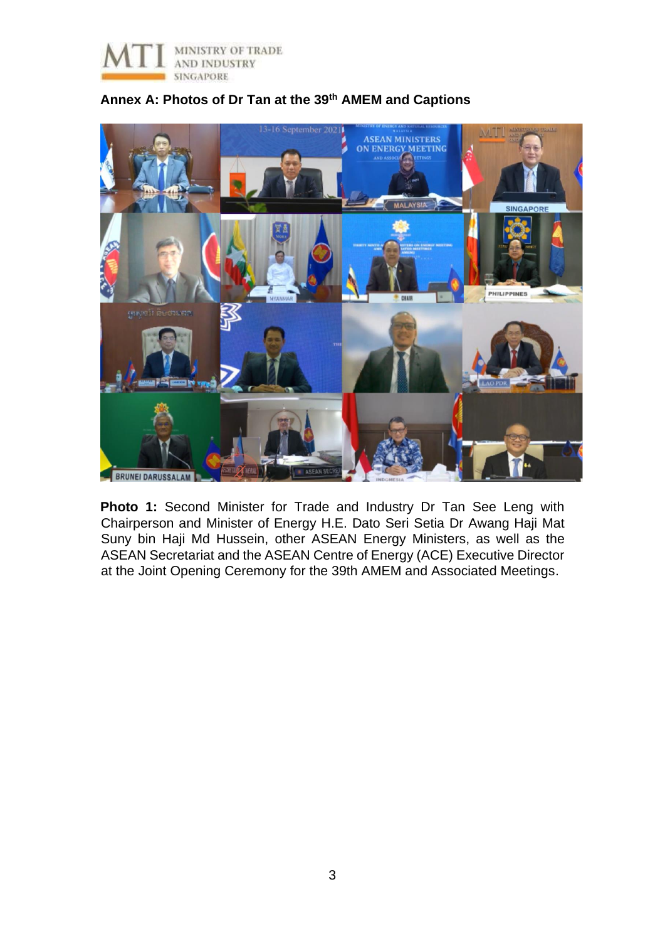



### **Annex A: Photos of Dr Tan at the 39th AMEM and Captions**

**Photo 1:** Second Minister for Trade and Industry Dr Tan See Leng with Chairperson and Minister of Energy H.E. Dato Seri Setia Dr Awang Haji Mat Suny bin Haji Md Hussein, other ASEAN Energy Ministers, as well as the ASEAN Secretariat and the ASEAN Centre of Energy (ACE) Executive Director at the Joint Opening Ceremony for the 39th AMEM and Associated Meetings.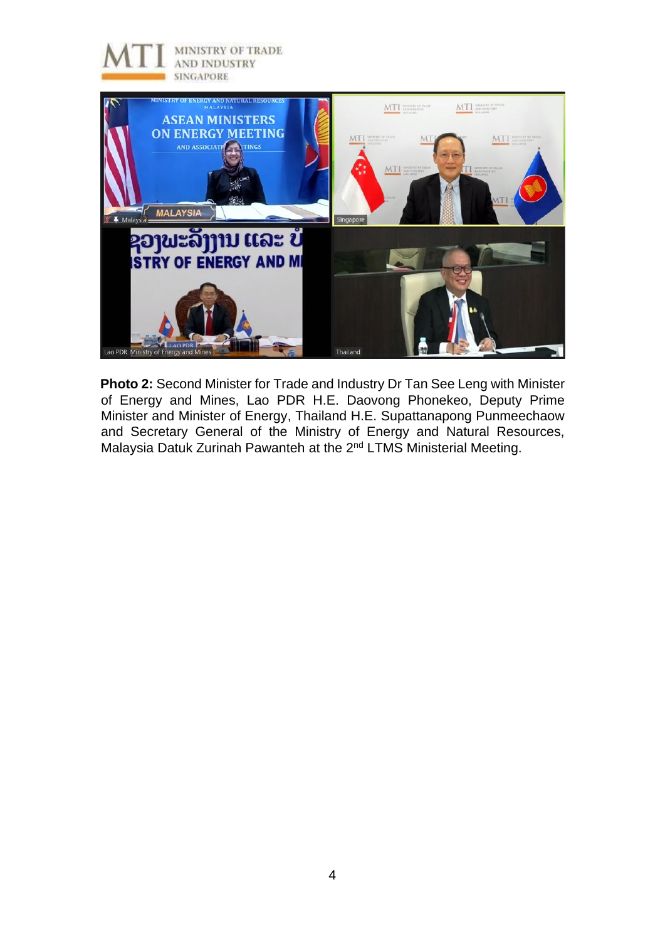

**Photo 2:** Second Minister for Trade and Industry Dr Tan See Leng with Minister of Energy and Mines, Lao PDR H.E. Daovong Phonekeo, Deputy Prime Minister and Minister of Energy, Thailand H.E. Supattanapong Punmeechaow and Secretary General of the Ministry of Energy and Natural Resources, Malaysia Datuk Zurinah Pawanteh at the 2<sup>nd</sup> LTMS Ministerial Meeting.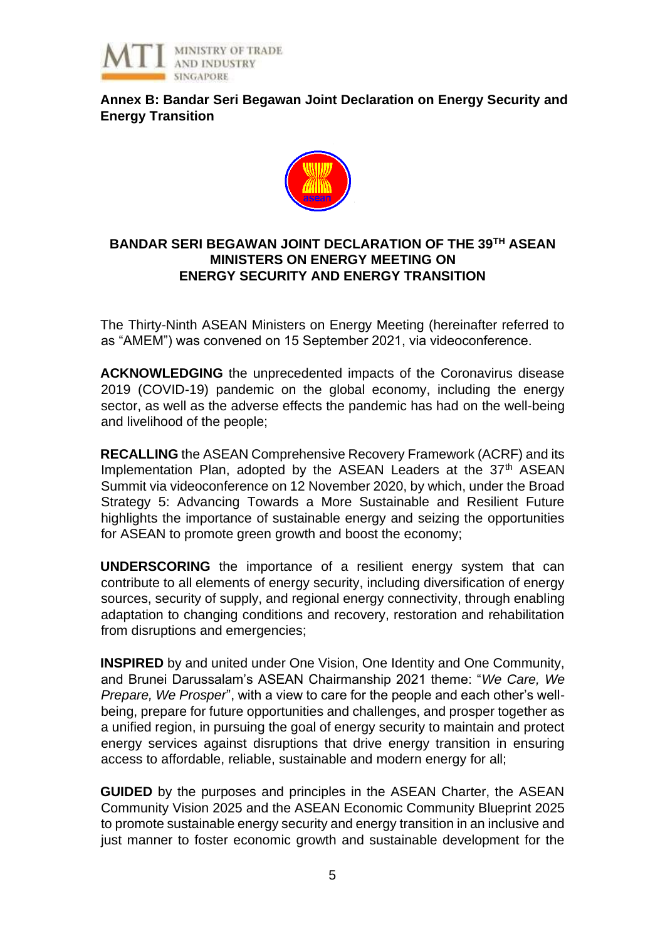

**Annex B: Bandar Seri Begawan Joint Declaration on Energy Security and Energy Transition**



### **BANDAR SERI BEGAWAN JOINT DECLARATION OF THE 39TH ASEAN MINISTERS ON ENERGY MEETING ON ENERGY SECURITY AND ENERGY TRANSITION**

The Thirty-Ninth ASEAN Ministers on Energy Meeting (hereinafter referred to as "AMEM") was convened on 15 September 2021, via videoconference.

**ACKNOWLEDGING** the unprecedented impacts of the Coronavirus disease 2019 (COVID-19) pandemic on the global economy, including the energy sector, as well as the adverse effects the pandemic has had on the well-being and livelihood of the people;

**RECALLING** the ASEAN Comprehensive Recovery Framework (ACRF) and its Implementation Plan, adopted by the ASEAN Leaders at the 37<sup>th</sup> ASEAN Summit via videoconference on 12 November 2020, by which, under the Broad Strategy 5: Advancing Towards a More Sustainable and Resilient Future highlights the importance of sustainable energy and seizing the opportunities for ASEAN to promote green growth and boost the economy;

**UNDERSCORING** the importance of a resilient energy system that can contribute to all elements of energy security, including diversification of energy sources, security of supply, and regional energy connectivity, through enabling adaptation to changing conditions and recovery, restoration and rehabilitation from disruptions and emergencies;

**INSPIRED** by and united under One Vision, One Identity and One Community, and Brunei Darussalam's ASEAN Chairmanship 2021 theme: "*We Care, We Prepare, We Prosper*", with a view to care for the people and each other's wellbeing, prepare for future opportunities and challenges, and prosper together as a unified region, in pursuing the goal of energy security to maintain and protect energy services against disruptions that drive energy transition in ensuring access to affordable, reliable, sustainable and modern energy for all;

**GUIDED** by the purposes and principles in the ASEAN Charter, the ASEAN Community Vision 2025 and the ASEAN Economic Community Blueprint 2025 to promote sustainable energy security and energy transition in an inclusive and just manner to foster economic growth and sustainable development for the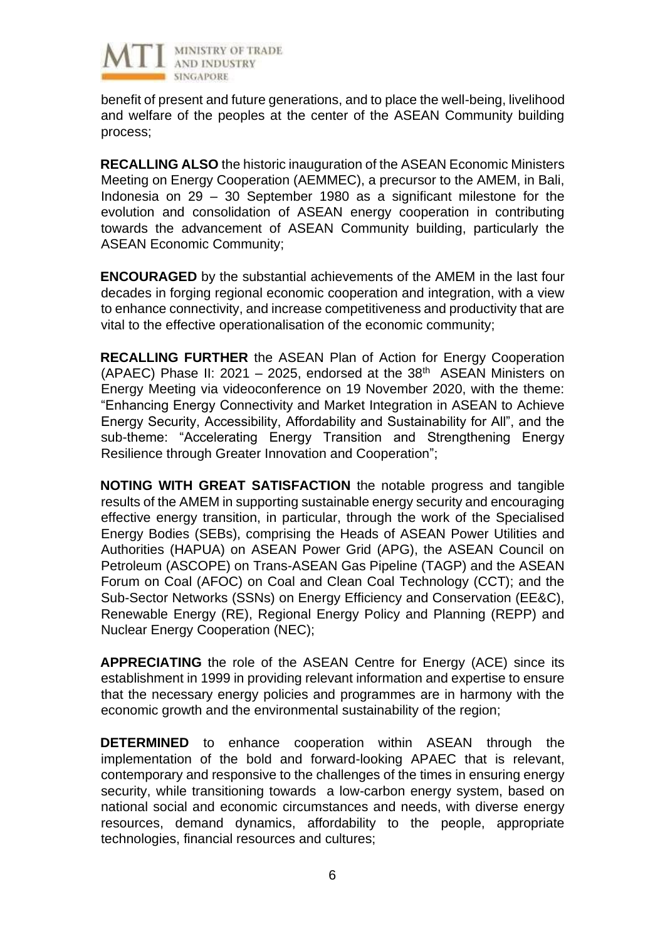

benefit of present and future generations, and to place the well-being, livelihood and welfare of the peoples at the center of the ASEAN Community building process;

**RECALLING ALSO** the historic inauguration of the ASEAN Economic Ministers Meeting on Energy Cooperation (AEMMEC), a precursor to the AMEM, in Bali, Indonesia on 29 – 30 September 1980 as a significant milestone for the evolution and consolidation of ASEAN energy cooperation in contributing towards the advancement of ASEAN Community building, particularly the ASEAN Economic Community;

**ENCOURAGED** by the substantial achievements of the AMEM in the last four decades in forging regional economic cooperation and integration, with a view to enhance connectivity, and increase competitiveness and productivity that are vital to the effective operationalisation of the economic community;

**RECALLING FURTHER** the ASEAN Plan of Action for Energy Cooperation (APAEC) Phase II: 2021 - 2025, endorsed at the  $38<sup>th</sup>$  ASEAN Ministers on Energy Meeting via videoconference on 19 November 2020, with the theme: "Enhancing Energy Connectivity and Market Integration in ASEAN to Achieve Energy Security, Accessibility, Affordability and Sustainability for All", and the sub-theme: "Accelerating Energy Transition and Strengthening Energy Resilience through Greater Innovation and Cooperation";

**NOTING WITH GREAT SATISFACTION** the notable progress and tangible results of the AMEM in supporting sustainable energy security and encouraging effective energy transition, in particular, through the work of the Specialised Energy Bodies (SEBs), comprising the Heads of ASEAN Power Utilities and Authorities (HAPUA) on ASEAN Power Grid (APG), the ASEAN Council on Petroleum (ASCOPE) on Trans-ASEAN Gas Pipeline (TAGP) and the ASEAN Forum on Coal (AFOC) on Coal and Clean Coal Technology (CCT); and the Sub-Sector Networks (SSNs) on Energy Efficiency and Conservation (EE&C), Renewable Energy (RE), Regional Energy Policy and Planning (REPP) and Nuclear Energy Cooperation (NEC);

**APPRECIATING** the role of the ASEAN Centre for Energy (ACE) since its establishment in 1999 in providing relevant information and expertise to ensure that the necessary energy policies and programmes are in harmony with the economic growth and the environmental sustainability of the region;

**DETERMINED** to enhance cooperation within ASEAN through the implementation of the bold and forward-looking APAEC that is relevant, contemporary and responsive to the challenges of the times in ensuring energy security, while transitioning towards a low-carbon energy system, based on national social and economic circumstances and needs, with diverse energy resources, demand dynamics, affordability to the people, appropriate technologies, financial resources and cultures;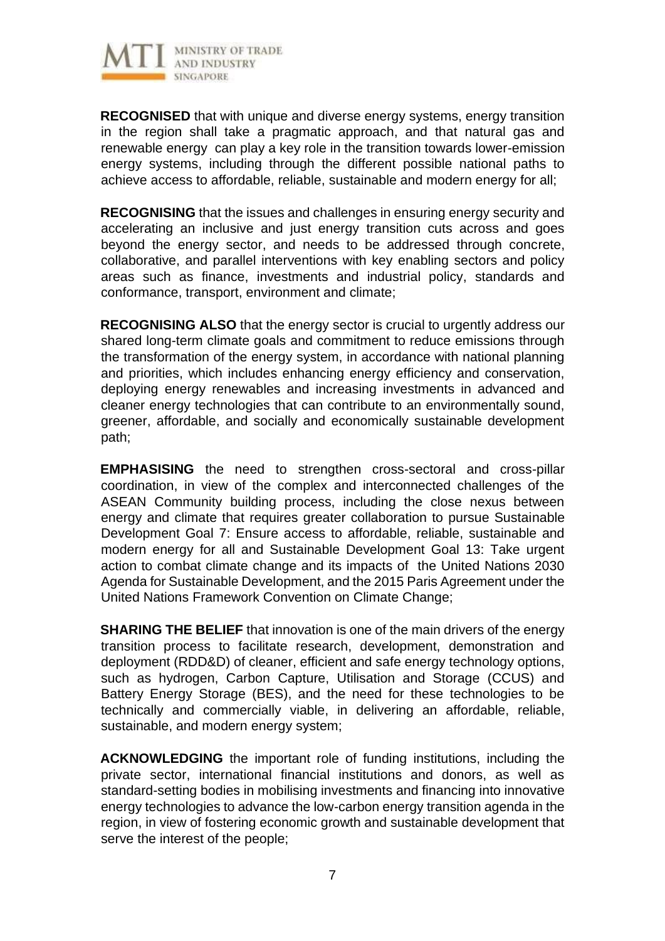

**RECOGNISED** that with unique and diverse energy systems, energy transition in the region shall take a pragmatic approach, and that natural gas and renewable energy can play a key role in the transition towards lower-emission energy systems, including through the different possible national paths to achieve access to affordable, reliable, sustainable and modern energy for all;

**RECOGNISING** that the issues and challenges in ensuring energy security and accelerating an inclusive and just energy transition cuts across and goes beyond the energy sector, and needs to be addressed through concrete, collaborative, and parallel interventions with key enabling sectors and policy areas such as finance, investments and industrial policy, standards and conformance, transport, environment and climate;

**RECOGNISING ALSO** that the energy sector is crucial to urgently address our shared long-term climate goals and commitment to reduce emissions through the transformation of the energy system, in accordance with national planning and priorities, which includes enhancing energy efficiency and conservation, deploying energy renewables and increasing investments in advanced and cleaner energy technologies that can contribute to an environmentally sound, greener, affordable, and socially and economically sustainable development path;

**EMPHASISING** the need to strengthen cross-sectoral and cross-pillar coordination, in view of the complex and interconnected challenges of the ASEAN Community building process, including the close nexus between energy and climate that requires greater collaboration to pursue Sustainable Development Goal 7: Ensure access to affordable, reliable, sustainable and modern energy for all and Sustainable Development Goal 13: Take urgent action to combat climate change and its impacts of the United Nations 2030 Agenda for Sustainable Development, and the 2015 Paris Agreement under the United Nations Framework Convention on Climate Change;

**SHARING THE BELIEF** that innovation is one of the main drivers of the energy transition process to facilitate research, development, demonstration and deployment (RDD&D) of cleaner, efficient and safe energy technology options, such as hydrogen, Carbon Capture, Utilisation and Storage (CCUS) and Battery Energy Storage (BES), and the need for these technologies to be technically and commercially viable, in delivering an affordable, reliable, sustainable, and modern energy system;

**ACKNOWLEDGING** the important role of funding institutions, including the private sector, international financial institutions and donors, as well as standard-setting bodies in mobilising investments and financing into innovative energy technologies to advance the low-carbon energy transition agenda in the region, in view of fostering economic growth and sustainable development that serve the interest of the people;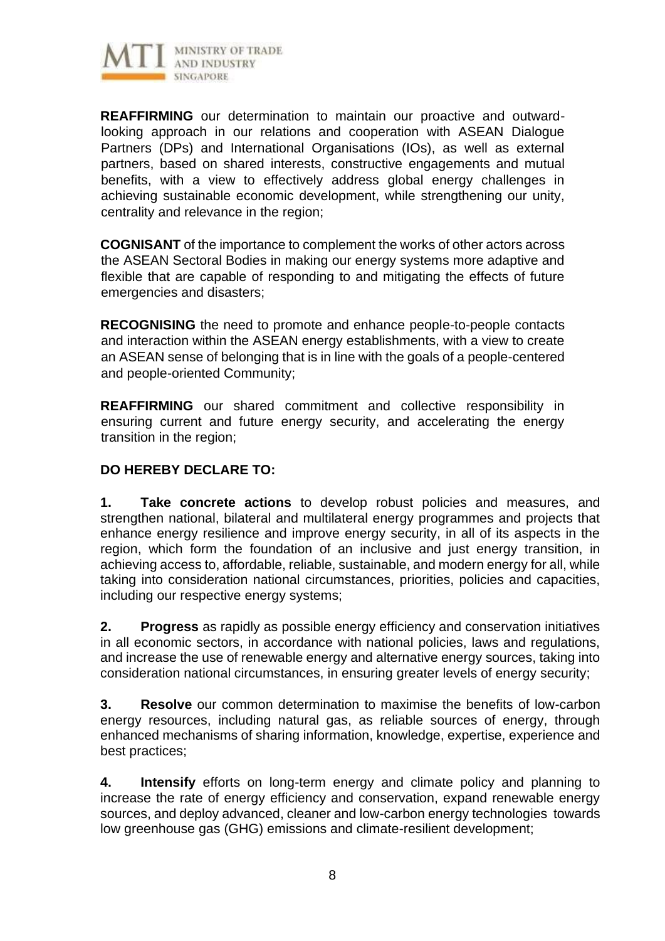

**REAFFIRMING** our determination to maintain our proactive and outwardlooking approach in our relations and cooperation with ASEAN Dialogue Partners (DPs) and International Organisations (IOs), as well as external partners, based on shared interests, constructive engagements and mutual benefits, with a view to effectively address global energy challenges in achieving sustainable economic development, while strengthening our unity, centrality and relevance in the region;

**COGNISANT** of the importance to complement the works of other actors across the ASEAN Sectoral Bodies in making our energy systems more adaptive and flexible that are capable of responding to and mitigating the effects of future emergencies and disasters;

**RECOGNISING** the need to promote and enhance people-to-people contacts and interaction within the ASEAN energy establishments, with a view to create an ASEAN sense of belonging that is in line with the goals of a people-centered and people-oriented Community;

**REAFFIRMING** our shared commitment and collective responsibility in ensuring current and future energy security, and accelerating the energy transition in the region;

# **DO HEREBY DECLARE TO:**

**1. Take concrete actions** to develop robust policies and measures, and strengthen national, bilateral and multilateral energy programmes and projects that enhance energy resilience and improve energy security, in all of its aspects in the region, which form the foundation of an inclusive and just energy transition, in achieving access to, affordable, reliable, sustainable, and modern energy for all, while taking into consideration national circumstances, priorities, policies and capacities, including our respective energy systems;

**2. Progress** as rapidly as possible energy efficiency and conservation initiatives in all economic sectors, in accordance with national policies, laws and regulations, and increase the use of renewable energy and alternative energy sources, taking into consideration national circumstances, in ensuring greater levels of energy security;

**3. Resolve** our common determination to maximise the benefits of low-carbon energy resources, including natural gas, as reliable sources of energy, through enhanced mechanisms of sharing information, knowledge, expertise, experience and best practices;

**4. Intensify** efforts on long-term energy and climate policy and planning to increase the rate of energy efficiency and conservation, expand renewable energy sources, and deploy advanced, cleaner and low-carbon energy technologies towards low greenhouse gas (GHG) emissions and climate-resilient development;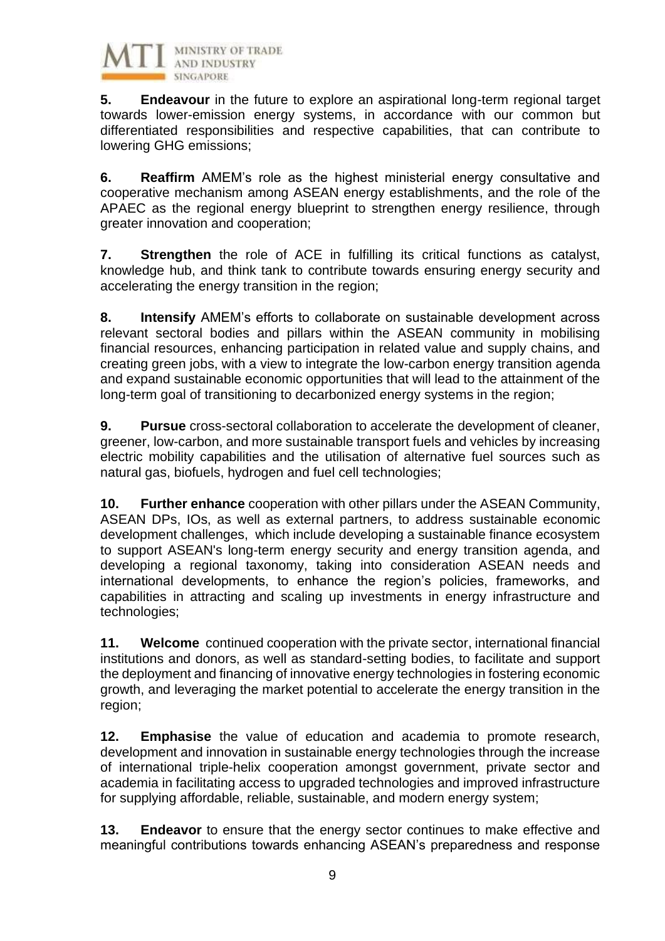

**5. Endeavour** in the future to explore an aspirational long-term regional target towards lower-emission energy systems, in accordance with our common but differentiated responsibilities and respective capabilities, that can contribute to lowering GHG emissions;

**6. Reaffirm** AMEM's role as the highest ministerial energy consultative and cooperative mechanism among ASEAN energy establishments, and the role of the APAEC as the regional energy blueprint to strengthen energy resilience, through greater innovation and cooperation;

**7. Strengthen** the role of ACE in fulfilling its critical functions as catalyst, knowledge hub, and think tank to contribute towards ensuring energy security and accelerating the energy transition in the region;

**8. Intensify** AMEM's efforts to collaborate on sustainable development across relevant sectoral bodies and pillars within the ASEAN community in mobilising financial resources, enhancing participation in related value and supply chains, and creating green jobs, with a view to integrate the low-carbon energy transition agenda and expand sustainable economic opportunities that will lead to the attainment of the long-term goal of transitioning to decarbonized energy systems in the region;

**9. Pursue** cross-sectoral collaboration to accelerate the development of cleaner, greener, low-carbon, and more sustainable transport fuels and vehicles by increasing electric mobility capabilities and the utilisation of alternative fuel sources such as natural gas, biofuels, hydrogen and fuel cell technologies;

**10. Further enhance** cooperation with other pillars under the ASEAN Community, ASEAN DPs, IOs, as well as external partners, to address sustainable economic development challenges, which include developing a sustainable finance ecosystem to support ASEAN's long-term energy security and energy transition agenda, and developing a regional taxonomy, taking into consideration ASEAN needs and international developments, to enhance the region's policies, frameworks, and capabilities in attracting and scaling up investments in energy infrastructure and technologies;

**11. Welcome** continued cooperation with the private sector, international financial institutions and donors, as well as standard-setting bodies, to facilitate and support the deployment and financing of innovative energy technologies in fostering economic growth, and leveraging the market potential to accelerate the energy transition in the region;

**12. Emphasise** the value of education and academia to promote research, development and innovation in sustainable energy technologies through the increase of international triple-helix cooperation amongst government, private sector and academia in facilitating access to upgraded technologies and improved infrastructure for supplying affordable, reliable, sustainable, and modern energy system;

**13. Endeavor** to ensure that the energy sector continues to make effective and meaningful contributions towards enhancing ASEAN's preparedness and response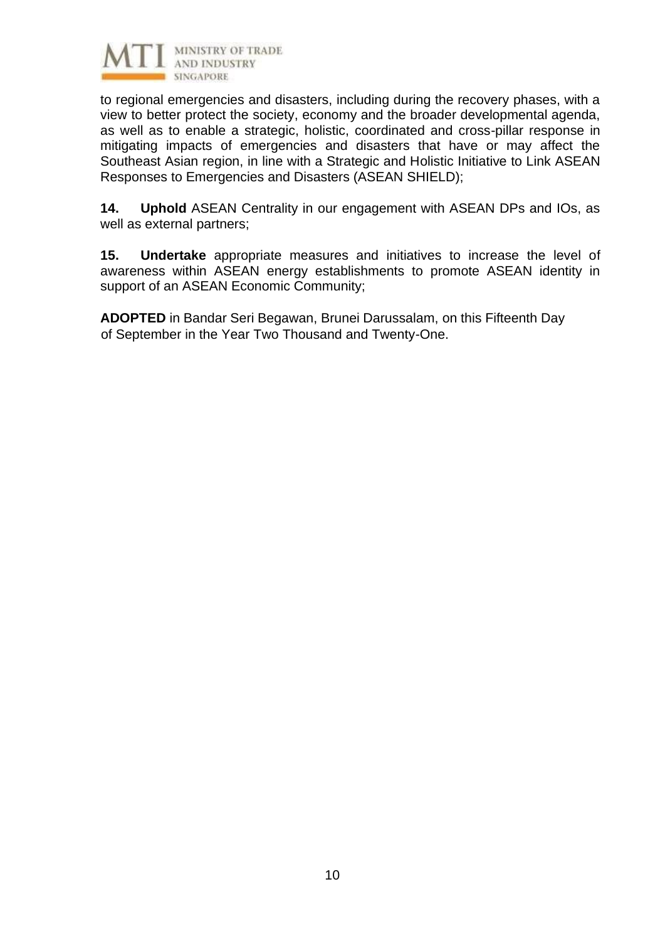

to regional emergencies and disasters, including during the recovery phases, with a view to better protect the society, economy and the broader developmental agenda, as well as to enable a strategic, holistic, coordinated and cross-pillar response in mitigating impacts of emergencies and disasters that have or may affect the Southeast Asian region, in line with a Strategic and Holistic Initiative to Link ASEAN Responses to Emergencies and Disasters (ASEAN SHIELD);

**14. Uphold** ASEAN Centrality in our engagement with ASEAN DPs and IOs, as well as external partners;

**15. Undertake** appropriate measures and initiatives to increase the level of awareness within ASEAN energy establishments to promote ASEAN identity in support of an ASEAN Economic Community;

**ADOPTED** in Bandar Seri Begawan, Brunei Darussalam, on this Fifteenth Day of September in the Year Two Thousand and Twenty-One.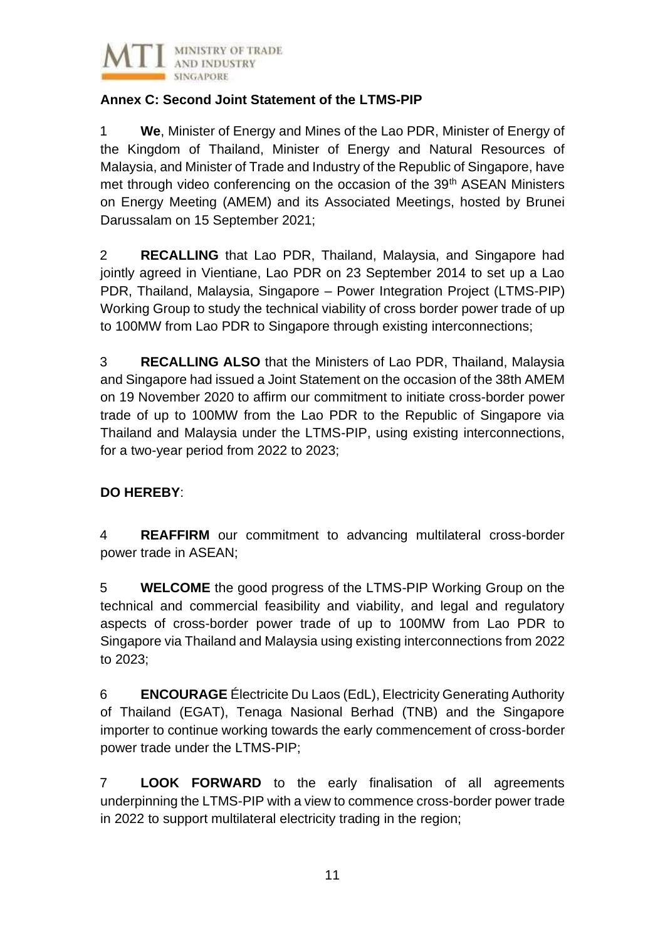

# **Annex C: Second Joint Statement of the LTMS-PIP**

1 **We**, Minister of Energy and Mines of the Lao PDR, Minister of Energy of the Kingdom of Thailand, Minister of Energy and Natural Resources of Malaysia, and Minister of Trade and Industry of the Republic of Singapore, have met through video conferencing on the occasion of the 39<sup>th</sup> ASEAN Ministers on Energy Meeting (AMEM) and its Associated Meetings, hosted by Brunei Darussalam on 15 September 2021;

2 **RECALLING** that Lao PDR, Thailand, Malaysia, and Singapore had jointly agreed in Vientiane, Lao PDR on 23 September 2014 to set up a Lao PDR, Thailand, Malaysia, Singapore – Power Integration Project (LTMS-PIP) Working Group to study the technical viability of cross border power trade of up to 100MW from Lao PDR to Singapore through existing interconnections;

3 **RECALLING ALSO** that the Ministers of Lao PDR, Thailand, Malaysia and Singapore had issued a Joint Statement on the occasion of the 38th AMEM on 19 November 2020 to affirm our commitment to initiate cross-border power trade of up to 100MW from the Lao PDR to the Republic of Singapore via Thailand and Malaysia under the LTMS-PIP, using existing interconnections, for a two-year period from 2022 to 2023;

# **DO HEREBY**:

4 **REAFFIRM** our commitment to advancing multilateral cross-border power trade in ASEAN;

5 **WELCOME** the good progress of the LTMS-PIP Working Group on the technical and commercial feasibility and viability, and legal and regulatory aspects of cross-border power trade of up to 100MW from Lao PDR to Singapore via Thailand and Malaysia using existing interconnections from 2022 to 2023;

6 **ENCOURAGE** Électricite Du Laos (EdL), Electricity Generating Authority of Thailand (EGAT), Tenaga Nasional Berhad (TNB) and the Singapore importer to continue working towards the early commencement of cross-border power trade under the LTMS-PIP;

7 **LOOK FORWARD** to the early finalisation of all agreements underpinning the LTMS-PIP with a view to commence cross-border power trade in 2022 to support multilateral electricity trading in the region;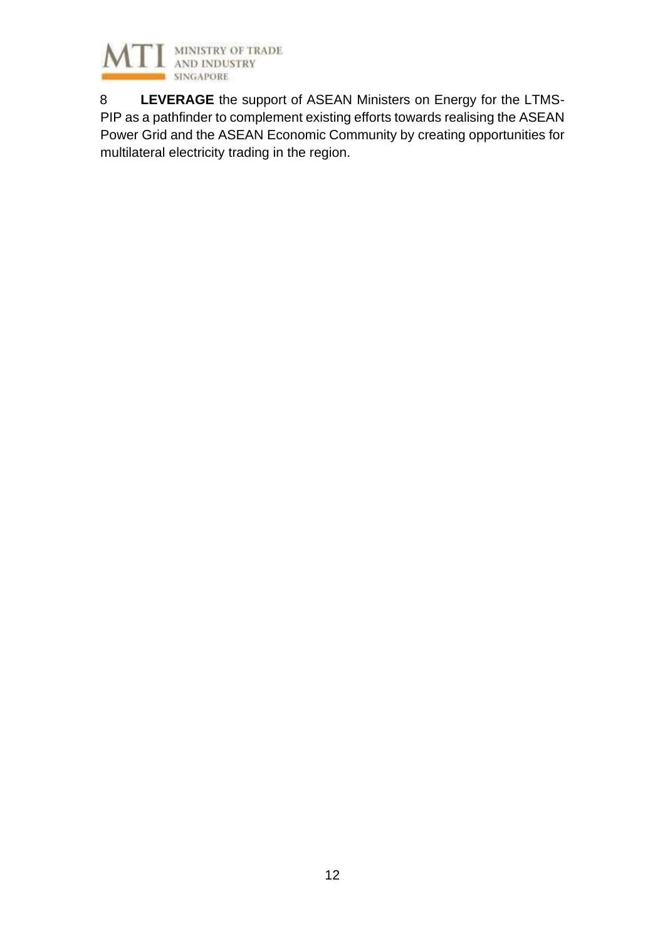

8 **LEVERAGE** the support of ASEAN Ministers on Energy for the LTMS-PIP as a pathfinder to complement existing efforts towards realising the ASEAN Power Grid and the ASEAN Economic Community by creating opportunities for multilateral electricity trading in the region.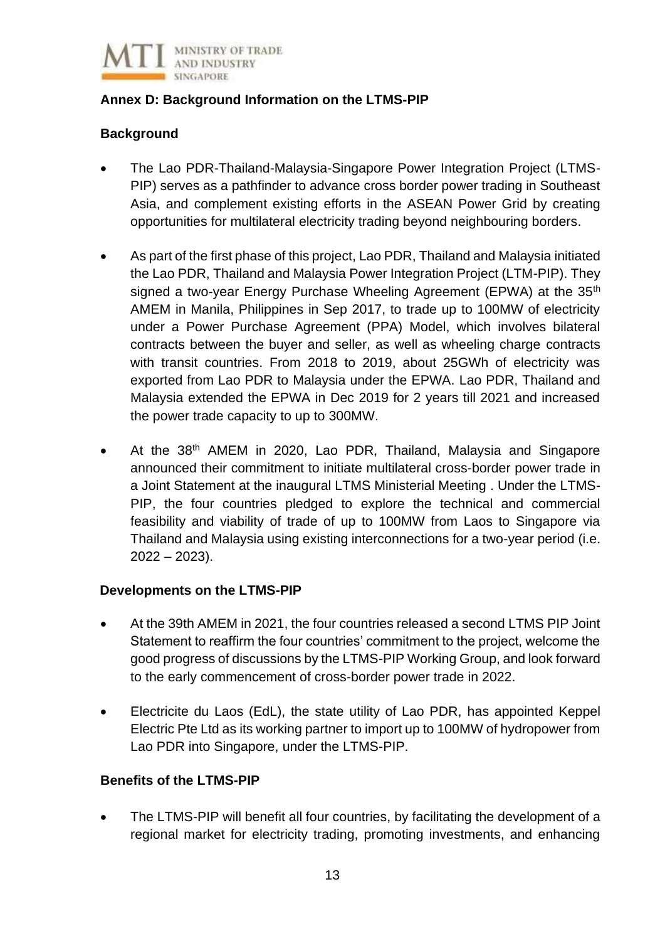

## **Annex D: Background Information on the LTMS-PIP**

## **Background**

- The Lao PDR-Thailand-Malaysia-Singapore Power Integration Project (LTMS-PIP) serves as a pathfinder to advance cross border power trading in Southeast Asia, and complement existing efforts in the ASEAN Power Grid by creating opportunities for multilateral electricity trading beyond neighbouring borders.
- As part of the first phase of this project, Lao PDR, Thailand and Malaysia initiated the Lao PDR, Thailand and Malaysia Power Integration Project (LTM-PIP). They signed a two-year Energy Purchase Wheeling Agreement (EPWA) at the 35<sup>th</sup> AMEM in Manila, Philippines in Sep 2017, to trade up to 100MW of electricity under a Power Purchase Agreement (PPA) Model, which involves bilateral contracts between the buyer and seller, as well as wheeling charge contracts with transit countries. From 2018 to 2019, about 25GWh of electricity was exported from Lao PDR to Malaysia under the EPWA. Lao PDR, Thailand and Malaysia extended the EPWA in Dec 2019 for 2 years till 2021 and increased the power trade capacity to up to 300MW.
- At the 38<sup>th</sup> AMEM in 2020, Lao PDR, Thailand, Malaysia and Singapore announced their commitment to initiate multilateral cross-border power trade in a Joint Statement at the inaugural LTMS Ministerial Meeting . Under the LTMS-PIP, the four countries pledged to explore the technical and commercial feasibility and viability of trade of up to 100MW from Laos to Singapore via Thailand and Malaysia using existing interconnections for a two-year period (i.e.  $2022 - 2023$ ).

## **Developments on the LTMS-PIP**

- At the 39th AMEM in 2021, the four countries released a second LTMS PIP Joint Statement to reaffirm the four countries' commitment to the project, welcome the good progress of discussions by the LTMS-PIP Working Group, and look forward to the early commencement of cross-border power trade in 2022.
- Electricite du Laos (EdL), the state utility of Lao PDR, has appointed Keppel Electric Pte Ltd as its working partner to import up to 100MW of hydropower from Lao PDR into Singapore, under the LTMS-PIP.

## **Benefits of the LTMS-PIP**

• The LTMS-PIP will benefit all four countries, by facilitating the development of a regional market for electricity trading, promoting investments, and enhancing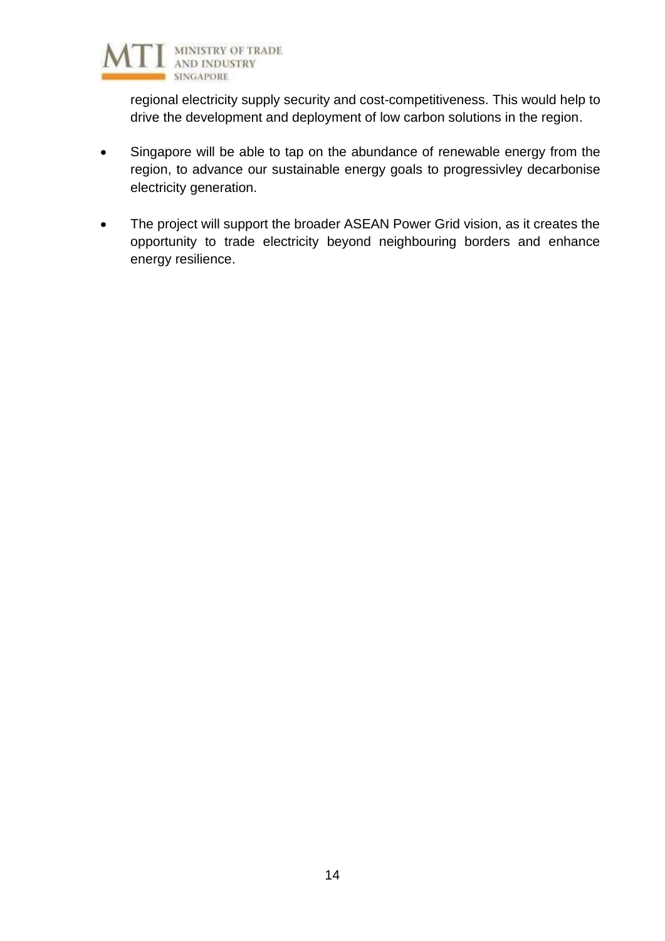

regional electricity supply security and cost-competitiveness. This would help to drive the development and deployment of low carbon solutions in the region.

- Singapore will be able to tap on the abundance of renewable energy from the region, to advance our sustainable energy goals to progressivley decarbonise electricity generation.
- The project will support the broader ASEAN Power Grid vision, as it creates the opportunity to trade electricity beyond neighbouring borders and enhance energy resilience.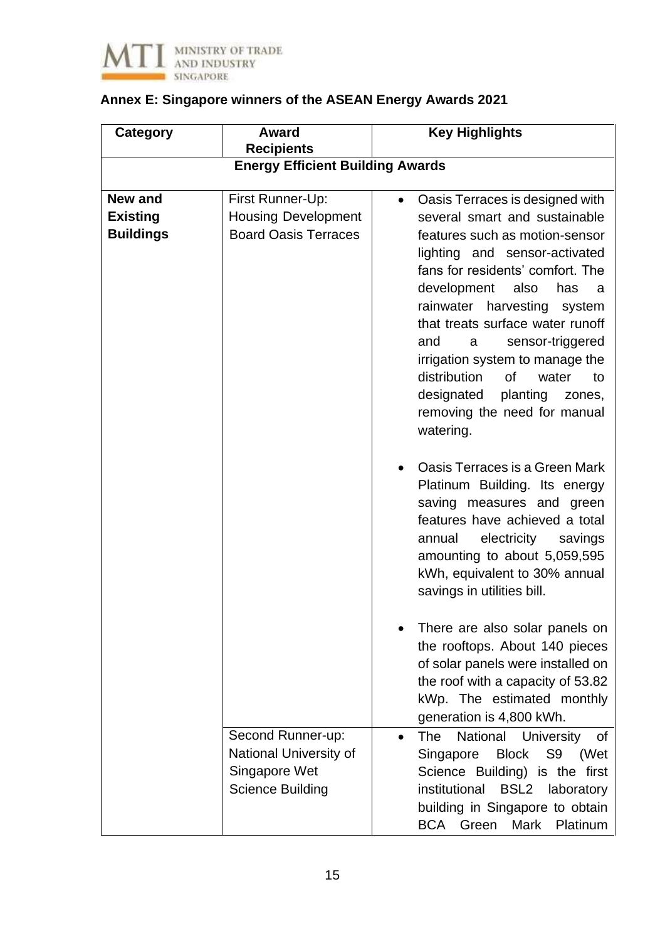

# **Annex E: Singapore winners of the ASEAN Energy Awards 2021**

| <b>Category</b>                                       | <b>Award</b><br><b>Recipients</b>                                                       | <b>Key Highlights</b>                                                                                                                                                                                                                                                                                                                                                                                                                                                                  |
|-------------------------------------------------------|-----------------------------------------------------------------------------------------|----------------------------------------------------------------------------------------------------------------------------------------------------------------------------------------------------------------------------------------------------------------------------------------------------------------------------------------------------------------------------------------------------------------------------------------------------------------------------------------|
|                                                       | <b>Energy Efficient Building Awards</b>                                                 |                                                                                                                                                                                                                                                                                                                                                                                                                                                                                        |
|                                                       |                                                                                         |                                                                                                                                                                                                                                                                                                                                                                                                                                                                                        |
| <b>New and</b><br><b>Existing</b><br><b>Buildings</b> | First Runner-Up:<br><b>Housing Development</b><br><b>Board Oasis Terraces</b>           | Oasis Terraces is designed with<br>$\bullet$<br>several smart and sustainable<br>features such as motion-sensor<br>lighting and sensor-activated<br>fans for residents' comfort. The<br>development<br>also<br>has<br>a<br>rainwater harvesting<br>system<br>that treats surface water runoff<br>and<br>sensor-triggered<br>a<br>irrigation system to manage the<br>distribution<br>of<br>water<br>to<br>designated<br>planting<br>zones,<br>removing the need for manual<br>watering. |
|                                                       |                                                                                         | Oasis Terraces is a Green Mark<br>Platinum Building. Its energy<br>saving measures and green<br>features have achieved a total<br>electricity<br>savings<br>annual<br>amounting to about 5,059,595<br>kWh, equivalent to 30% annual<br>savings in utilities bill.                                                                                                                                                                                                                      |
|                                                       |                                                                                         | There are also solar panels on<br>the rooftops. About 140 pieces<br>of solar panels were installed on<br>the roof with a capacity of 53.82<br>kWp. The estimated monthly<br>generation is 4,800 kWh.                                                                                                                                                                                                                                                                                   |
|                                                       | Second Runner-up:<br>National University of<br>Singapore Wet<br><b>Science Building</b> | National University<br><b>The</b><br>0f<br><b>Block</b><br>S9<br>Singapore<br>(Wet<br>Science Building) is the first<br>institutional BSL2 laboratory<br>building in Singapore to obtain<br><b>BCA</b><br>Mark<br>Platinum<br>Green                                                                                                                                                                                                                                                    |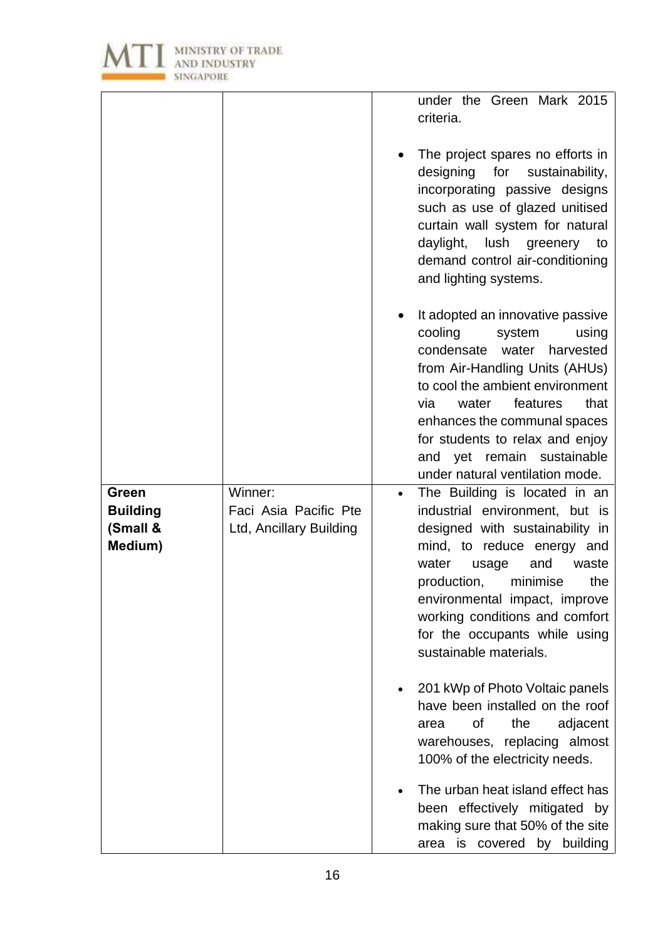

|                                                 |                                                             | under the Green Mark 2015<br>criteria.                                                                                                                                                                                                                                                                                                          |
|-------------------------------------------------|-------------------------------------------------------------|-------------------------------------------------------------------------------------------------------------------------------------------------------------------------------------------------------------------------------------------------------------------------------------------------------------------------------------------------|
|                                                 |                                                             | The project spares no efforts in<br>designing for sustainability,<br>incorporating passive designs<br>such as use of glazed unitised<br>curtain wall system for natural<br>daylight,<br>lush greenery<br>to<br>demand control air-conditioning<br>and lighting systems.                                                                         |
|                                                 |                                                             | It adopted an innovative passive<br>cooling<br>system<br>using<br>condensate<br>water<br>harvested<br>from Air-Handling Units (AHUs)<br>to cool the ambient environment<br>that<br>via<br>features<br>water<br>enhances the communal spaces<br>for students to relax and enjoy<br>and yet remain sustainable<br>under natural ventilation mode. |
| Green<br><b>Building</b><br>(Small &<br>Medium) | Winner:<br>Faci Asia Pacific Pte<br>Ltd, Ancillary Building | The Building is located in an<br>$\bullet$<br>industrial environment, but is<br>designed with sustainability in<br>mind, to reduce energy and<br>water<br>usage<br>and<br>waste<br>minimise<br>production,<br>the<br>environmental impact, improve<br>working conditions and comfort<br>for the occupants while using<br>sustainable materials. |
|                                                 |                                                             | 201 kWp of Photo Voltaic panels<br>have been installed on the roof<br>of<br>the<br>adjacent<br>area<br>warehouses, replacing almost<br>100% of the electricity needs.                                                                                                                                                                           |
|                                                 |                                                             | The urban heat island effect has<br>$\bullet$<br>been effectively mitigated by<br>making sure that 50% of the site<br>covered by building<br>area is                                                                                                                                                                                            |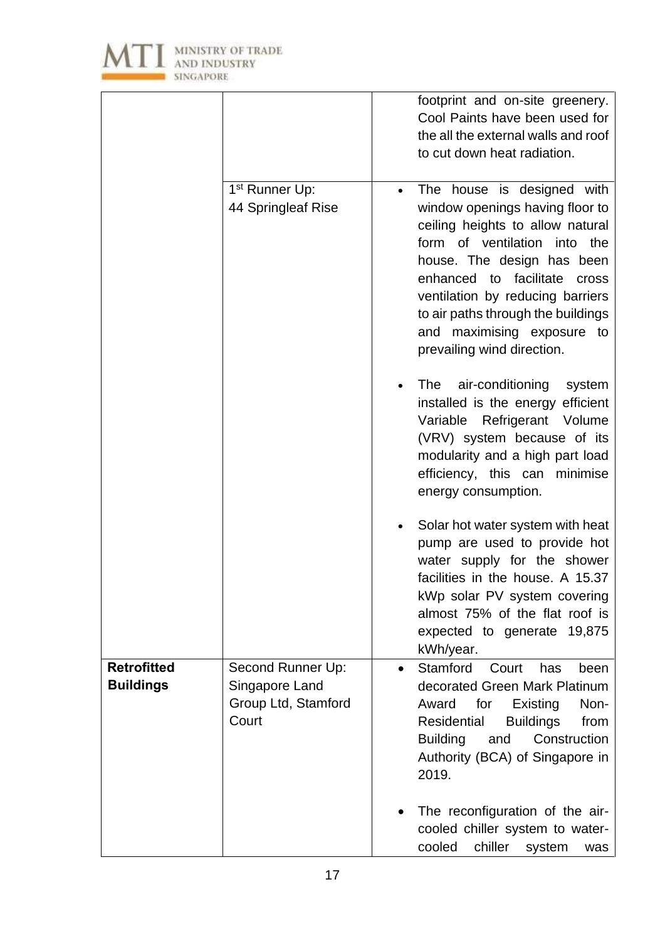

|                                        |                                                                     | footprint and on-site greenery.<br>Cool Paints have been used for<br>the all the external walls and roof<br>to cut down heat radiation.                                                                                                                                                                                                                      |
|----------------------------------------|---------------------------------------------------------------------|--------------------------------------------------------------------------------------------------------------------------------------------------------------------------------------------------------------------------------------------------------------------------------------------------------------------------------------------------------------|
|                                        | 1 <sup>st</sup> Runner Up:<br>44 Springleaf Rise                    | The house is designed with<br>$\bullet$<br>window openings having floor to<br>ceiling heights to allow natural<br>form of ventilation into the<br>house. The design has been<br>enhanced to facilitate<br><b>Cross</b><br>ventilation by reducing barriers<br>to air paths through the buildings<br>and maximising exposure to<br>prevailing wind direction. |
|                                        |                                                                     | air-conditioning<br>The<br>system<br>installed is the energy efficient<br>Variable Refrigerant Volume<br>(VRV) system because of its<br>modularity and a high part load<br>efficiency, this can minimise<br>energy consumption.                                                                                                                              |
|                                        |                                                                     | Solar hot water system with heat<br>pump are used to provide hot<br>water supply for the shower<br>facilities in the house. A 15.37<br>kWp solar PV system covering<br>almost 75% of the flat roof is<br>expected to generate 19,875<br>kWh/year.                                                                                                            |
| <b>Retrofitted</b><br><b>Buildings</b> | Second Runner Up:<br>Singapore Land<br>Group Ltd, Stamford<br>Court | Stamford<br>Court<br>has<br>been<br>$\bullet$<br>decorated Green Mark Platinum<br>Award<br>for<br>Existing<br>Non-<br>Residential<br><b>Buildings</b><br>from<br>Construction<br><b>Building</b><br>and<br>Authority (BCA) of Singapore in<br>2019.                                                                                                          |
|                                        |                                                                     | The reconfiguration of the air-<br>cooled chiller system to water-<br>chiller<br>cooled<br>system<br>was                                                                                                                                                                                                                                                     |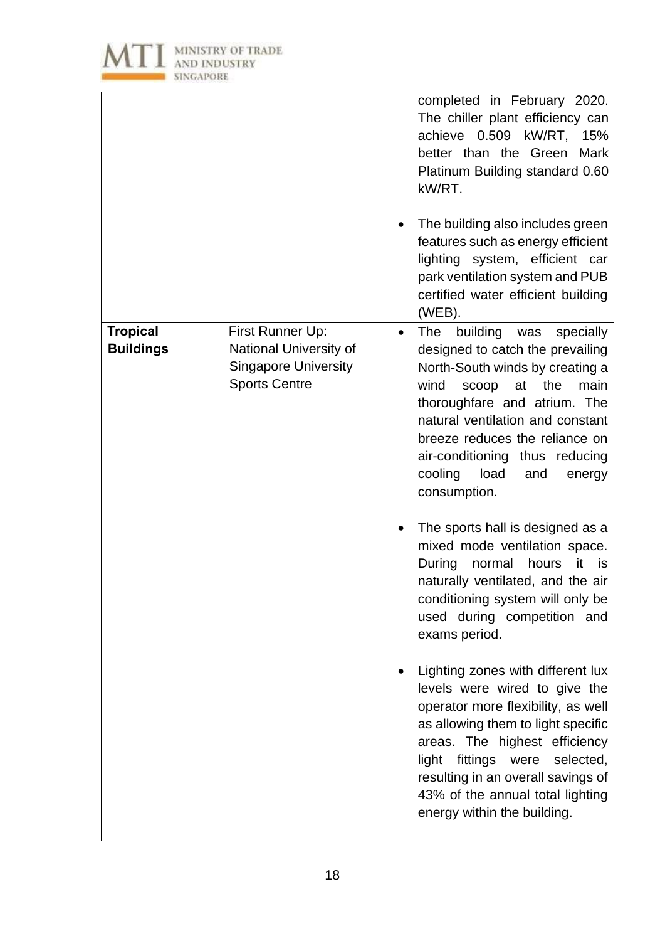

|                                     |                                                                                                   | completed in February 2020.<br>The chiller plant efficiency can<br>achieve 0.509 kW/RT,<br>15%<br>better than the Green<br>Mark<br>Platinum Building standard 0.60<br>kW/RT.<br>The building also includes green<br>features such as energy efficient<br>lighting system, efficient car<br>park ventilation system and PUB<br>certified water efficient building<br>(WEB). |
|-------------------------------------|---------------------------------------------------------------------------------------------------|----------------------------------------------------------------------------------------------------------------------------------------------------------------------------------------------------------------------------------------------------------------------------------------------------------------------------------------------------------------------------|
| <b>Tropical</b><br><b>Buildings</b> | First Runner Up:<br>National University of<br><b>Singapore University</b><br><b>Sports Centre</b> | The<br>building<br>specially<br>was<br>$\bullet$<br>designed to catch the prevailing<br>North-South winds by creating a<br>wind<br>at<br>the<br>main<br>scoop<br>thoroughfare and atrium. The<br>natural ventilation and constant<br>breeze reduces the reliance on<br>air-conditioning thus reducing<br>cooling<br>load<br>and<br>energy<br>consumption.                  |
|                                     |                                                                                                   | The sports hall is designed as a<br>mixed mode ventilation space.<br>During<br>hours<br>normal<br>it<br>is<br>naturally ventilated, and the air<br>conditioning system will only be<br>used during competition and<br>exams period.                                                                                                                                        |
|                                     |                                                                                                   | Lighting zones with different lux<br>levels were wired to give the<br>operator more flexibility, as well<br>as allowing them to light specific<br>areas. The highest efficiency<br>light<br>fittings were<br>selected,<br>resulting in an overall savings of<br>43% of the annual total lighting<br>energy within the building.                                            |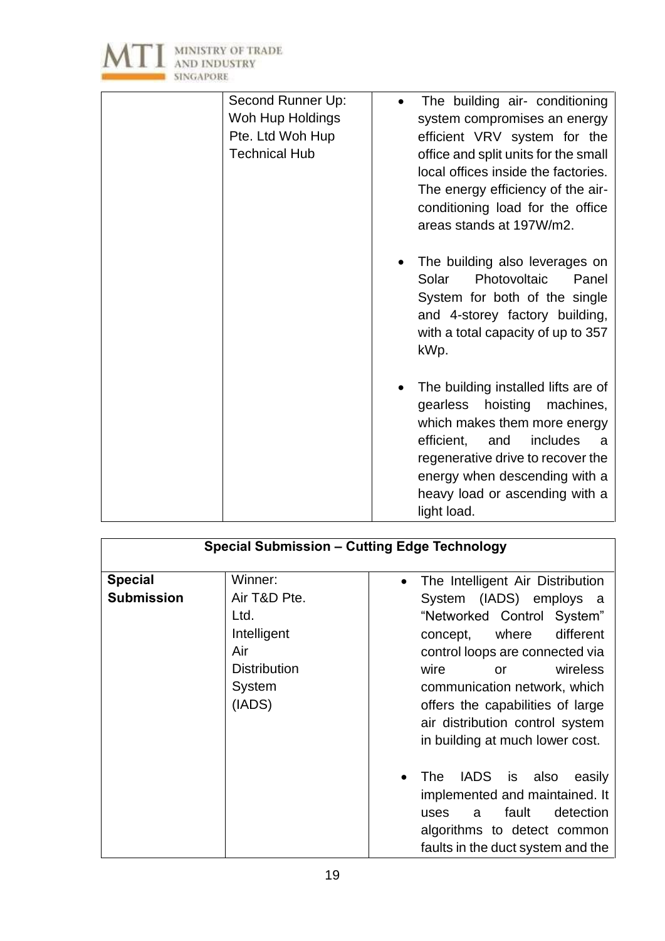

| Second Runner Up:<br>Woh Hup Holdings<br>Pte. Ltd Woh Hup<br><b>Technical Hub</b> | The building air- conditioning<br>system compromises an energy<br>efficient VRV system for the<br>office and split units for the small<br>local offices inside the factories.<br>The energy efficiency of the air-<br>conditioning load for the office               |
|-----------------------------------------------------------------------------------|----------------------------------------------------------------------------------------------------------------------------------------------------------------------------------------------------------------------------------------------------------------------|
|                                                                                   | areas stands at 197W/m2.<br>The building also leverages on<br>Photovoltaic<br>Solar<br>Panel<br>System for both of the single<br>and 4-storey factory building,<br>with a total capacity of up to 357<br>kWp.                                                        |
|                                                                                   | The building installed lifts are of<br>machines,<br>gearless hoisting<br>which makes them more energy<br>efficient,<br>includes<br>and<br>- a<br>regenerative drive to recover the<br>energy when descending with a<br>heavy load or ascending with a<br>light load. |

| <b>Special Submission - Cutting Edge Technology</b> |                     |                                               |
|-----------------------------------------------------|---------------------|-----------------------------------------------|
| <b>Special</b>                                      | Winner:             | The Intelligent Air Distribution<br>$\bullet$ |
| <b>Submission</b>                                   | Air T&D Pte.        | System (IADS) employs a                       |
|                                                     | Ltd.                | "Networked Control System"                    |
|                                                     | Intelligent         | different<br>concept, where                   |
|                                                     | Air                 | control loops are connected via               |
|                                                     | <b>Distribution</b> | wireless<br>wire<br><b>or</b>                 |
|                                                     | System              | communication network, which                  |
|                                                     | (IADS)              | offers the capabilities of large              |
|                                                     |                     | air distribution control system               |
|                                                     |                     | in building at much lower cost.               |
|                                                     |                     | The<br>IADS is also<br>easily<br>$\bullet$    |
|                                                     |                     | implemented and maintained. It                |
|                                                     |                     | detection<br>fault<br>uses<br>a               |
|                                                     |                     | algorithms to detect common                   |
|                                                     |                     | faults in the duct system and the             |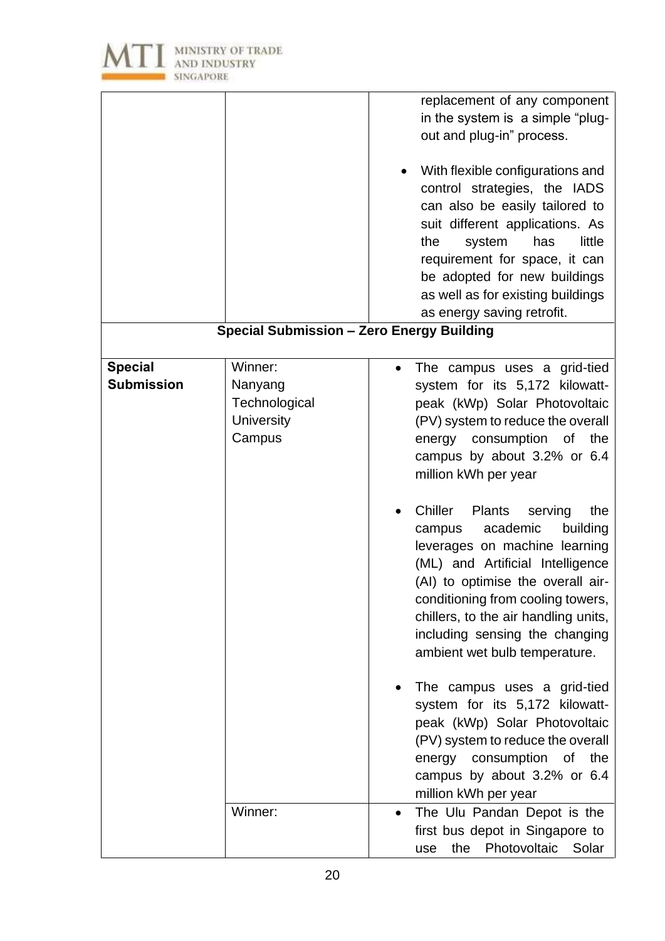

|                                     |                                                             | replacement of any component<br>in the system is a simple "plug-<br>out and plug-in" process.<br>With flexible configurations and<br>control strategies, the IADS<br>can also be easily tailored to<br>suit different applications. As<br>little<br>the<br>system<br>has<br>requirement for space, it can<br>be adopted for new buildings<br>as well as for existing buildings<br>as energy saving retrofit.<br><b>Special Submission - Zero Energy Building</b> |
|-------------------------------------|-------------------------------------------------------------|------------------------------------------------------------------------------------------------------------------------------------------------------------------------------------------------------------------------------------------------------------------------------------------------------------------------------------------------------------------------------------------------------------------------------------------------------------------|
|                                     |                                                             |                                                                                                                                                                                                                                                                                                                                                                                                                                                                  |
| <b>Special</b><br><b>Submission</b> | Winner:<br>Nanyang<br>Technological<br>University<br>Campus | The campus uses a grid-tied<br>$\bullet$<br>system for its 5,172 kilowatt-<br>peak (kWp) Solar Photovoltaic<br>(PV) system to reduce the overall<br>consumption of<br>energy<br>the<br>campus by about 3.2% or 6.4<br>million kWh per year                                                                                                                                                                                                                       |
|                                     |                                                             | Chiller<br><b>Plants</b><br>serving<br>the<br>academic<br>building<br>campus<br>leverages on machine learning<br>(ML) and Artificial Intelligence<br>(AI) to optimise the overall air-<br>conditioning from cooling towers,<br>chillers, to the air handling units,<br>including sensing the changing<br>ambient wet bulb temperature.                                                                                                                           |
|                                     |                                                             | The campus uses a grid-tied<br>system for its 5,172 kilowatt-<br>peak (kWp) Solar Photovoltaic<br>(PV) system to reduce the overall<br>consumption<br>energy<br>0f<br>the<br>campus by about 3.2% or 6.4<br>million kWh per year                                                                                                                                                                                                                                 |
|                                     | Winner:                                                     | The Ulu Pandan Depot is the<br>$\bullet$<br>first bus depot in Singapore to<br>Photovoltaic<br>the<br>Solar<br>use                                                                                                                                                                                                                                                                                                                                               |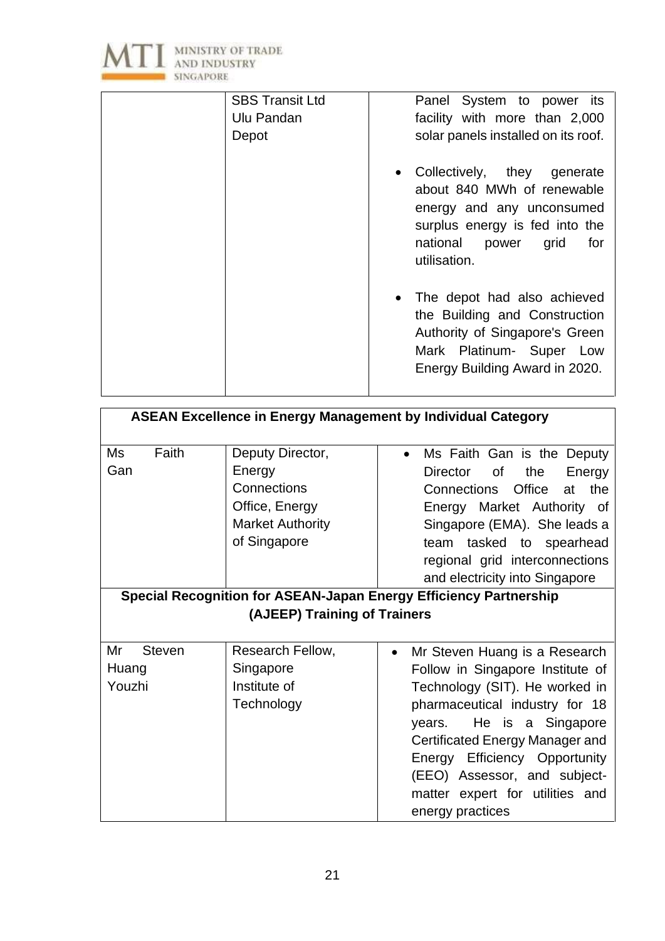

| <b>SBS Transit Ltd</b> | Panel System to power its                                                                                                                                                   |
|------------------------|-----------------------------------------------------------------------------------------------------------------------------------------------------------------------------|
| Ulu Pandan             | facility with more than 2,000                                                                                                                                               |
| Depot                  | solar panels installed on its roof.                                                                                                                                         |
|                        | • Collectively, they generate<br>about 840 MWh of renewable<br>energy and any unconsumed<br>surplus energy is fed into the<br>national<br>power grid<br>for<br>utilisation. |
|                        | • The depot had also achieved<br>the Building and Construction<br>Authority of Singapore's Green<br>Mark Platinum- Super Low<br>Energy Building Award in 2020.              |

| <b>ASEAN Excellence in Energy Management by Individual Category</b>      |                                                                                                        |                                                                                                                                                                                                                                                                                                     |
|--------------------------------------------------------------------------|--------------------------------------------------------------------------------------------------------|-----------------------------------------------------------------------------------------------------------------------------------------------------------------------------------------------------------------------------------------------------------------------------------------------------|
| Faith<br>Ms<br>Gan                                                       | Deputy Director,<br>Energy<br>Connections<br>Office, Energy<br><b>Market Authority</b><br>of Singapore | Ms Faith Gan is the Deputy<br>$\bullet$<br><b>of</b><br><b>Director</b><br>the<br>Energy<br>Office<br><b>Connections</b><br>the<br>at<br>Energy Market Authority of<br>Singapore (EMA). She leads a<br>team tasked to spearhead<br>regional grid interconnections<br>and electricity into Singapore |
| <b>Special Recognition for ASEAN-Japan Energy Efficiency Partnership</b> |                                                                                                        |                                                                                                                                                                                                                                                                                                     |
|                                                                          | (AJEEP) Training of Trainers                                                                           |                                                                                                                                                                                                                                                                                                     |
| Mr<br><b>Steven</b>                                                      | Research Fellow,                                                                                       | Mr Steven Huang is a Research<br>$\bullet$                                                                                                                                                                                                                                                          |
| Huang                                                                    | Singapore                                                                                              | Follow in Singapore Institute of                                                                                                                                                                                                                                                                    |
| Youzhi                                                                   | Institute of                                                                                           | Technology (SIT). He worked in                                                                                                                                                                                                                                                                      |
|                                                                          | Technology                                                                                             | pharmaceutical industry for 18                                                                                                                                                                                                                                                                      |
|                                                                          |                                                                                                        | He is a Singapore<br>years.                                                                                                                                                                                                                                                                         |
|                                                                          |                                                                                                        | Certificated Energy Manager and                                                                                                                                                                                                                                                                     |
|                                                                          |                                                                                                        | Efficiency Opportunity<br>Energy                                                                                                                                                                                                                                                                    |
|                                                                          |                                                                                                        | (EEO) Assessor, and subject-                                                                                                                                                                                                                                                                        |
|                                                                          |                                                                                                        | matter expert for utilities and                                                                                                                                                                                                                                                                     |
|                                                                          |                                                                                                        | energy practices                                                                                                                                                                                                                                                                                    |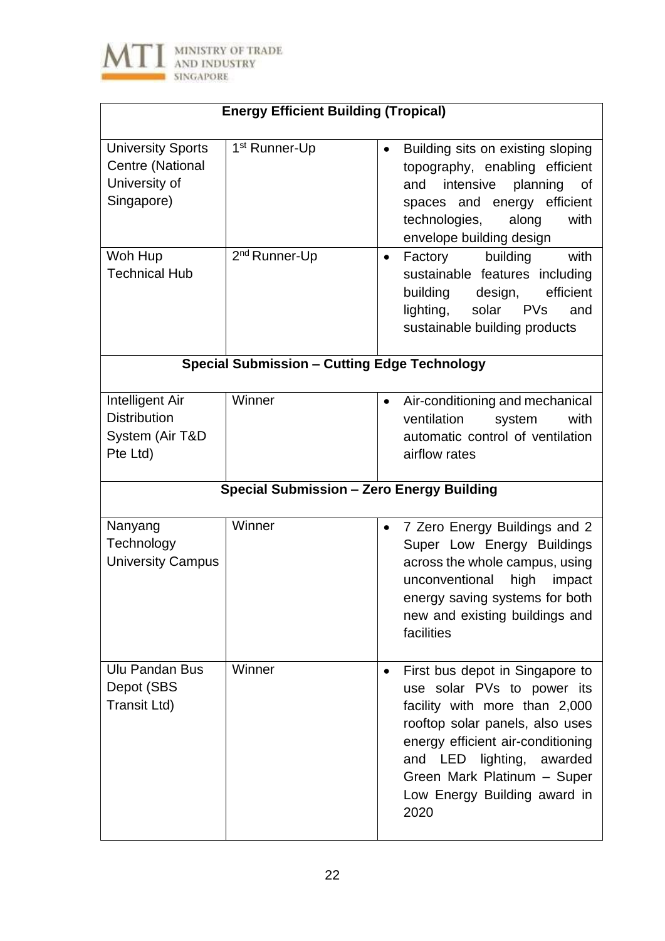

| <b>Energy Efficient Building (Tropical)</b>                                 |                                                  |                                                                                                                                                                                                                                                                                         |
|-----------------------------------------------------------------------------|--------------------------------------------------|-----------------------------------------------------------------------------------------------------------------------------------------------------------------------------------------------------------------------------------------------------------------------------------------|
| <b>University Sports</b><br>Centre (National<br>University of<br>Singapore) | 1 <sup>st</sup> Runner-Up                        | Building sits on existing sloping<br>$\bullet$<br>topography, enabling efficient<br>intensive<br>planning<br>and<br>οf<br>spaces and energy efficient<br>technologies,<br>along<br>with<br>envelope building design                                                                     |
| Woh Hup<br><b>Technical Hub</b>                                             | 2 <sup>nd</sup> Runner-Up                        | building<br>Factory<br>with<br>$\bullet$<br>sustainable features including<br>building<br>efficient<br>design,<br>lighting,<br>solar<br><b>PVs</b><br>and<br>sustainable building products                                                                                              |
| <b>Special Submission - Cutting Edge Technology</b>                         |                                                  |                                                                                                                                                                                                                                                                                         |
| Intelligent Air<br><b>Distribution</b><br>System (Air T&D<br>Pte Ltd)       | Winner                                           | Air-conditioning and mechanical<br>$\bullet$<br>ventilation<br>with<br>system<br>automatic control of ventilation<br>airflow rates                                                                                                                                                      |
|                                                                             | <b>Special Submission - Zero Energy Building</b> |                                                                                                                                                                                                                                                                                         |
| Nanyang<br>Technology<br><b>University Campus</b>                           | Winner                                           | 7 Zero Energy Buildings and 2<br>$\bullet$<br>Super Low Energy Buildings<br>across the whole campus, using<br>unconventional<br>high impact<br>energy saving systems for both<br>new and existing buildings and<br>facilities                                                           |
| <b>Ulu Pandan Bus</b><br>Depot (SBS<br>Transit Ltd)                         | Winner                                           | First bus depot in Singapore to<br>$\bullet$<br>use solar PVs to power its<br>facility with more than 2,000<br>rooftop solar panels, also uses<br>energy efficient air-conditioning<br>and LED lighting, awarded<br>Green Mark Platinum - Super<br>Low Energy Building award in<br>2020 |